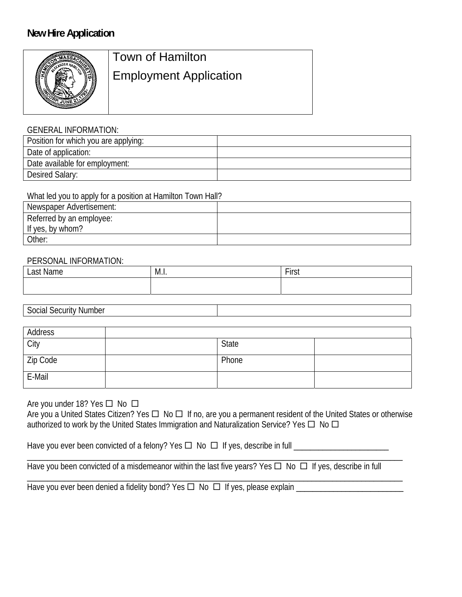# **New Hire Application**



# Town of Hamilton Employment Application

#### GENERAL INFORMATION:

| Position for which you are applying: |  |
|--------------------------------------|--|
| Date of application:                 |  |
| Date available for employment:       |  |
| Desired Salary:                      |  |

#### What led you to apply for a position at Hamilton Town Hall?

| Newspaper Advertisement: |  |
|--------------------------|--|
| Referred by an employee: |  |
| If yes, by whom?         |  |
| Other:                   |  |

#### PERSONAL INFORMATION:

| net<br>$\sim$<br>ше<br>וואוו | M.I. | $-$<br>$\overline{\phantom{a}}$<br>.<br>$\sim$ |
|------------------------------|------|------------------------------------------------|
|                              |      |                                                |

Social Security Number

| Address  |       |  |
|----------|-------|--|
| City     | State |  |
| Zip Code | Phone |  |
| E-Mail   |       |  |

## Are you under 18? Yes  $\Box$  No  $\Box$

Are you a United States Citizen? Yes  $\Box$  No  $\Box$  If no, are you a permanent resident of the United States or otherwise authorized to work by the United States Immigration and Naturalization Service? Yes  $\Box$  No  $\Box$ 

\_\_\_\_\_\_\_\_\_\_\_\_\_\_\_\_\_\_\_\_\_\_\_\_\_\_\_\_\_\_\_\_\_\_\_\_\_\_\_\_\_\_\_\_\_\_\_\_\_\_\_\_\_\_\_\_\_\_\_\_\_\_\_\_\_\_\_\_\_\_\_\_\_\_\_\_\_\_\_\_\_\_\_\_\_\_\_\_\_\_\_

\_\_\_\_\_\_\_\_\_\_\_\_\_\_\_\_\_\_\_\_\_\_\_\_\_\_\_\_\_\_\_\_\_\_\_\_\_\_\_\_\_\_\_\_\_\_\_\_\_\_\_\_\_\_\_\_\_\_\_\_\_\_\_\_\_\_\_\_\_\_\_\_\_\_\_\_\_\_\_\_\_\_\_\_\_\_\_\_\_\_\_

Have you ever been convicted of a felony? Yes  $\Box$  No  $\Box$  If yes, describe in full  $\Box$ 

Have you been convicted of a misdemeanor within the last five years? Yes  $\Box$  No  $\Box$  If yes, describe in full

Have you ever been denied a fidelity bond? Yes  $\Box$  No  $\Box$  If yes, please explain  $\Box$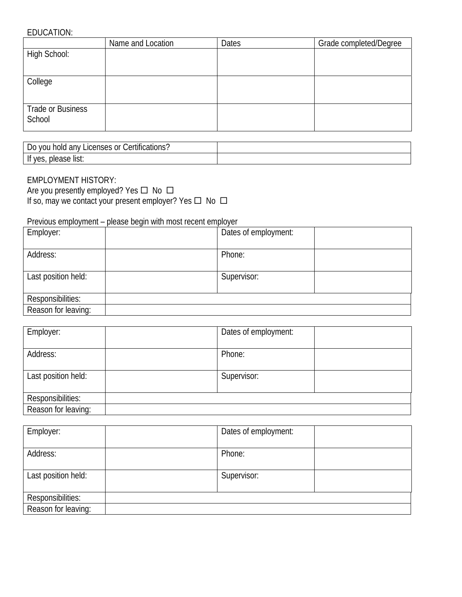#### EDUCATION:

|                   | Name and Location | Dates | Grade completed/Degree |
|-------------------|-------------------|-------|------------------------|
| High School:      |                   |       |                        |
|                   |                   |       |                        |
| College           |                   |       |                        |
|                   |                   |       |                        |
| Trade or Business |                   |       |                        |
| School            |                   |       |                        |

| $\cdot$<br>Certifications?<br>Licenses or<br>anv<br>VOU<br>hold<br>D0 |  |
|-----------------------------------------------------------------------|--|
| please list:<br><b>VAS</b><br>.<br>ັບ                                 |  |

### EMPLOYMENT HISTORY:

Are you presently employed? Yes  $\Box$  No  $\Box$ If so, may we contact your present employer? Yes  $\Box$  No  $\Box$ 

Previous employment – please begin with most recent employer

| Employer:           | Dates of employment: |
|---------------------|----------------------|
| Address:            | Phone:               |
| Last position held: | Supervisor:          |
| Responsibilities:   |                      |
| Reason for leaving: |                      |

| Employer:           | Dates of employment: |  |
|---------------------|----------------------|--|
| Address:            | Phone:               |  |
| Last position held: | Supervisor:          |  |
| Responsibilities:   |                      |  |
| Reason for leaving: |                      |  |

| Employer:           | Dates of employment: |
|---------------------|----------------------|
|                     |                      |
| Address:            | Phone:               |
|                     |                      |
| Last position held: | Supervisor:          |
|                     |                      |
| Responsibilities:   |                      |
| Reason for leaving: |                      |